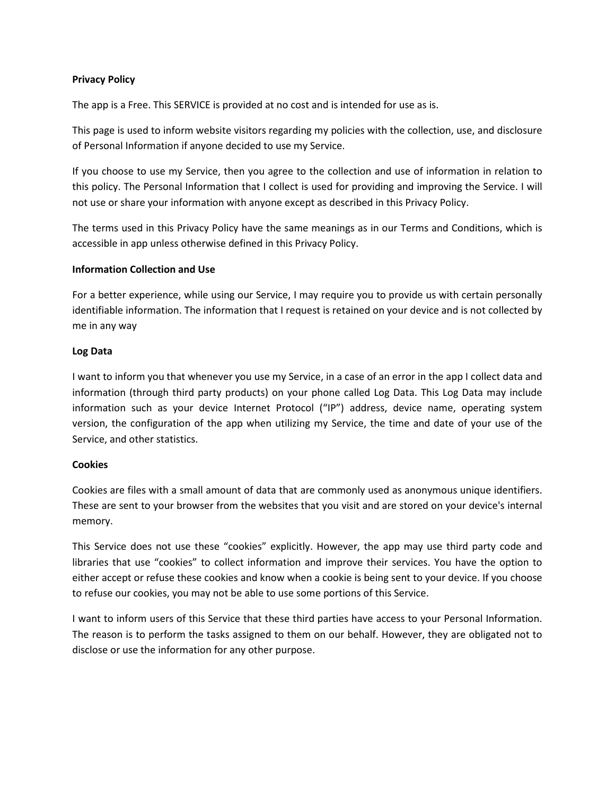## Privacy Policy

The app is a Free. This SERVICE is provided at no cost and is intended for use as is.

This page is used to inform website visitors regarding my policies with the collection, use, and disclosure of Personal Information if anyone decided to use my Service.

If you choose to use my Service, then you agree to the collection and use of information in relation to this policy. The Personal Information that I collect is used for providing and improving the Service. I will not use or share your information with anyone except as described in this Privacy Policy.

The terms used in this Privacy Policy have the same meanings as in our Terms and Conditions, which is accessible in app unless otherwise defined in this Privacy Policy.

## Information Collection and Use

For a better experience, while using our Service, I may require you to provide us with certain personally identifiable information. The information that I request is retained on your device and is not collected by me in any way

## Log Data

I want to inform you that whenever you use my Service, in a case of an error in the app I collect data and information (through third party products) on your phone called Log Data. This Log Data may include information such as your device Internet Protocol ("IP") address, device name, operating system version, the configuration of the app when utilizing my Service, the time and date of your use of the Service, and other statistics.

## Cookies

Cookies are files with a small amount of data that are commonly used as anonymous unique identifiers. These are sent to your browser from the websites that you visit and are stored on your device's internal memory.

This Service does not use these "cookies" explicitly. However, the app may use third party code and libraries that use "cookies" to collect information and improve their services. You have the option to either accept or refuse these cookies and know when a cookie is being sent to your device. If you choose to refuse our cookies, you may not be able to use some portions of this Service.

I want to inform users of this Service that these third parties have access to your Personal Information. The reason is to perform the tasks assigned to them on our behalf. However, they are obligated not to disclose or use the information for any other purpose.